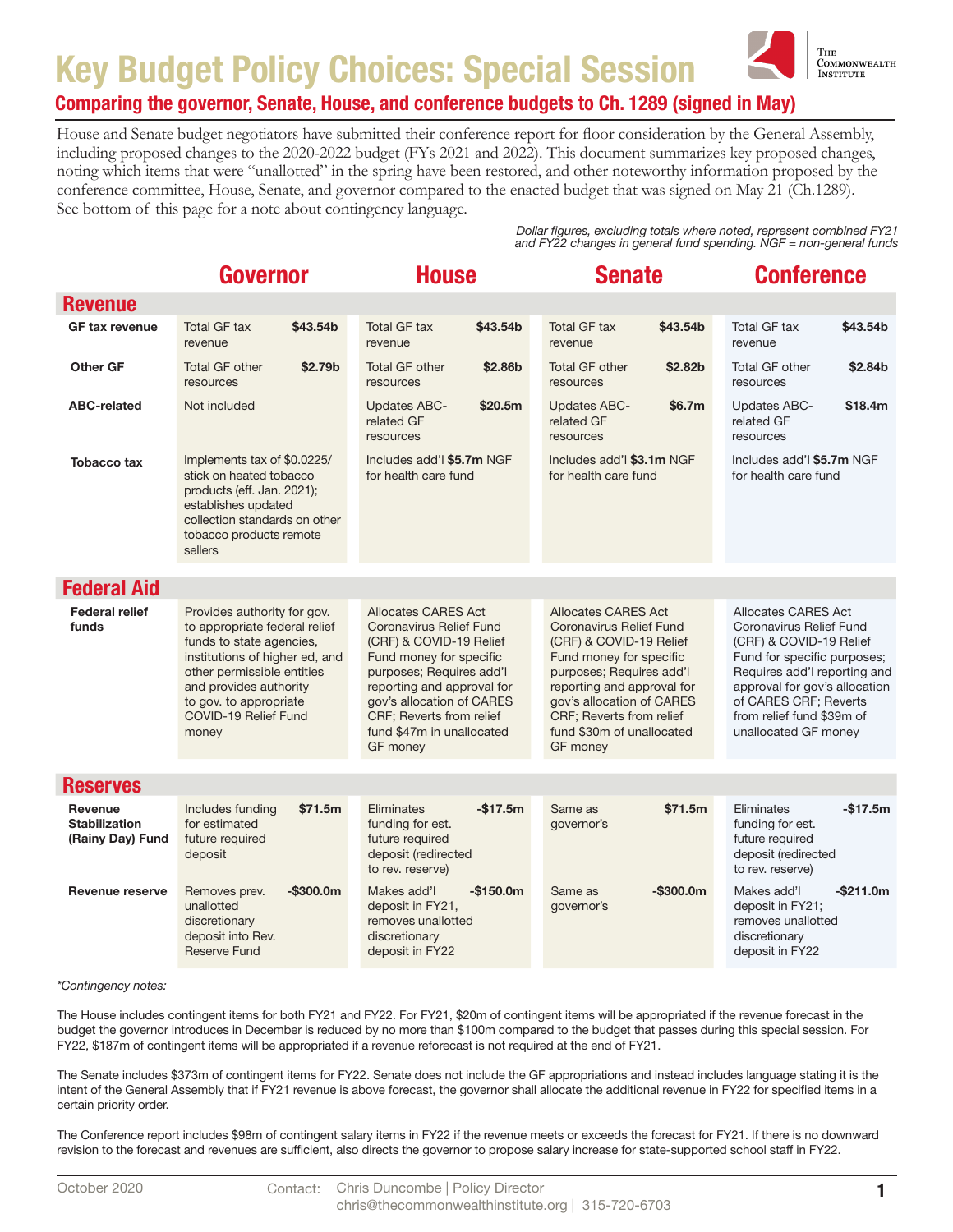

#### Comparing the governor, Senate, House, and conference budgets to Ch. 1289 (signed in May)

House and Senate budget negotiators have submitted their conference report for floor consideration by the General Assembly, including proposed changes to the 2020-2022 budget (FYs 2021 and 2022). This document summarizes key proposed changes, noting which items that were "unallotted" in the spring have been restored, and other noteworthy information proposed by the conference committee, House, Senate, and governor compared to the enacted budget that was signed on May 21 (Ch.1289). See bottom of this page for a note about contingency language.

> *Dollar figures, excluding totals where noted, represent combined FY21 and FY22 changes in general fund spending. NGF = non-general funds*

|                                                            | Governor                                                                                                                                                                                                                                      | <b>House</b>                                                                                                                                                                                                                                                            | <b>Senate</b>                                                                                                                                                                                                                                                                  | <b>Conference</b>                                                                                                                                                                                                                                              |
|------------------------------------------------------------|-----------------------------------------------------------------------------------------------------------------------------------------------------------------------------------------------------------------------------------------------|-------------------------------------------------------------------------------------------------------------------------------------------------------------------------------------------------------------------------------------------------------------------------|--------------------------------------------------------------------------------------------------------------------------------------------------------------------------------------------------------------------------------------------------------------------------------|----------------------------------------------------------------------------------------------------------------------------------------------------------------------------------------------------------------------------------------------------------------|
| <b>Revenue</b>                                             |                                                                                                                                                                                                                                               |                                                                                                                                                                                                                                                                         |                                                                                                                                                                                                                                                                                |                                                                                                                                                                                                                                                                |
| <b>GF tax revenue</b>                                      | <b>Total GF tax</b><br>\$43.54b<br>revenue                                                                                                                                                                                                    | <b>Total GF tax</b><br>\$43.54b<br>revenue                                                                                                                                                                                                                              | <b>Total GF tax</b><br>\$43.54b<br>revenue                                                                                                                                                                                                                                     | Total GF tax<br>\$43.54b<br>revenue                                                                                                                                                                                                                            |
| <b>Other GF</b>                                            | <b>Total GF other</b><br>\$2.79b<br>resources                                                                                                                                                                                                 | <b>Total GF other</b><br>\$2.86b<br>resources                                                                                                                                                                                                                           | <b>Total GF other</b><br>\$2.82b<br>resources                                                                                                                                                                                                                                  | <b>Total GF other</b><br>\$2.84 <sub>b</sub><br>resources                                                                                                                                                                                                      |
| <b>ABC-related</b>                                         | Not included                                                                                                                                                                                                                                  | <b>Updates ABC-</b><br>\$20.5m<br>related GF<br>resources                                                                                                                                                                                                               | <b>Updates ABC-</b><br>\$6.7m<br>related GF<br>resources                                                                                                                                                                                                                       | Updates ABC-<br>\$18.4m<br>related GF<br>resources                                                                                                                                                                                                             |
| <b>Tobacco tax</b>                                         | Implements tax of \$0.0225/<br>stick on heated tobacco<br>products (eff. Jan. 2021);<br>establishes updated<br>collection standards on other<br>tobacco products remote<br>sellers                                                            | Includes add'l \$5.7m NGF<br>for health care fund                                                                                                                                                                                                                       | Includes add'l \$3.1m NGF<br>for health care fund                                                                                                                                                                                                                              | Includes add'l \$5.7m NGF<br>for health care fund                                                                                                                                                                                                              |
| <b>Federal Aid</b>                                         |                                                                                                                                                                                                                                               |                                                                                                                                                                                                                                                                         |                                                                                                                                                                                                                                                                                |                                                                                                                                                                                                                                                                |
| <b>Federal relief</b><br>funds                             | Provides authority for gov.<br>to appropriate federal relief<br>funds to state agencies,<br>institutions of higher ed, and<br>other permissible entities<br>and provides authority<br>to gov. to appropriate<br>COVID-19 Relief Fund<br>money | Allocates CARES Act<br><b>Coronavirus Relief Fund</b><br>(CRF) & COVID-19 Relief<br>Fund money for specific<br>purposes; Requires add'l<br>reporting and approval for<br>gov's allocation of CARES<br>CRF; Reverts from relief<br>fund \$47m in unallocated<br>GF money | <b>Allocates CARES Act</b><br><b>Coronavirus Relief Fund</b><br>(CRF) & COVID-19 Relief<br>Fund money for specific<br>purposes; Requires add'l<br>reporting and approval for<br>gov's allocation of CARES<br>CRF; Reverts from relief<br>fund \$30m of unallocated<br>GF money | Allocates CARES Act<br><b>Coronavirus Relief Fund</b><br>(CRF) & COVID-19 Relief<br>Fund for specific purposes;<br>Requires add'l reporting and<br>approval for gov's allocation<br>of CARES CRF; Reverts<br>from relief fund \$39m of<br>unallocated GF money |
|                                                            |                                                                                                                                                                                                                                               |                                                                                                                                                                                                                                                                         |                                                                                                                                                                                                                                                                                |                                                                                                                                                                                                                                                                |
| <b>Reserves</b>                                            |                                                                                                                                                                                                                                               |                                                                                                                                                                                                                                                                         |                                                                                                                                                                                                                                                                                |                                                                                                                                                                                                                                                                |
| <b>Revenue</b><br><b>Stabilization</b><br>(Rainy Day) Fund | Includes funding<br>\$71.5m<br>for estimated<br>future required<br>deposit                                                                                                                                                                    | Eliminates<br>$-$17.5m$<br>funding for est.<br>future required<br>deposit (redirected<br>to rev. reserve)                                                                                                                                                               | \$71.5m<br>Same as<br>governor's                                                                                                                                                                                                                                               | Eliminates<br>$-$17.5m$<br>funding for est.<br>future required<br>deposit (redirected<br>to rev. reserve)                                                                                                                                                      |
| <b>Revenue reserve</b>                                     | $-$300.0m$<br>Removes prev.<br>unallotted<br>discretionary<br>deposit into Rev.<br><b>Reserve Fund</b>                                                                                                                                        | Makes add'l<br>$-$150.0m$<br>deposit in FY21,<br>removes unallotted<br>discretionary<br>deposit in FY22                                                                                                                                                                 | Same as<br>$-$ \$300.0m<br>governor's                                                                                                                                                                                                                                          | Makes add'l<br>$-$ \$211.0m<br>deposit in FY21;<br>removes unallotted<br>discretionary<br>deposit in FY22                                                                                                                                                      |

*\*Contingency notes:* 

The House includes contingent items for both FY21 and FY22. For FY21, \$20m of contingent items will be appropriated if the revenue forecast in the budget the governor introduces in December is reduced by no more than \$100m compared to the budget that passes during this special session. For FY22, \$187m of contingent items will be appropriated if a revenue reforecast is not required at the end of FY21.

The Senate includes \$373m of contingent items for FY22. Senate does not include the GF appropriations and instead includes language stating it is the intent of the General Assembly that if FY21 revenue is above forecast, the governor shall allocate the additional revenue in FY22 for specified items in a certain priority order.

The Conference report includes \$98m of contingent salary items in FY22 if the revenue meets or exceeds the forecast for FY21. If there is no downward revision to the forecast and revenues are sufficient, also directs the governor to propose salary increase for state-supported school staff in FY22.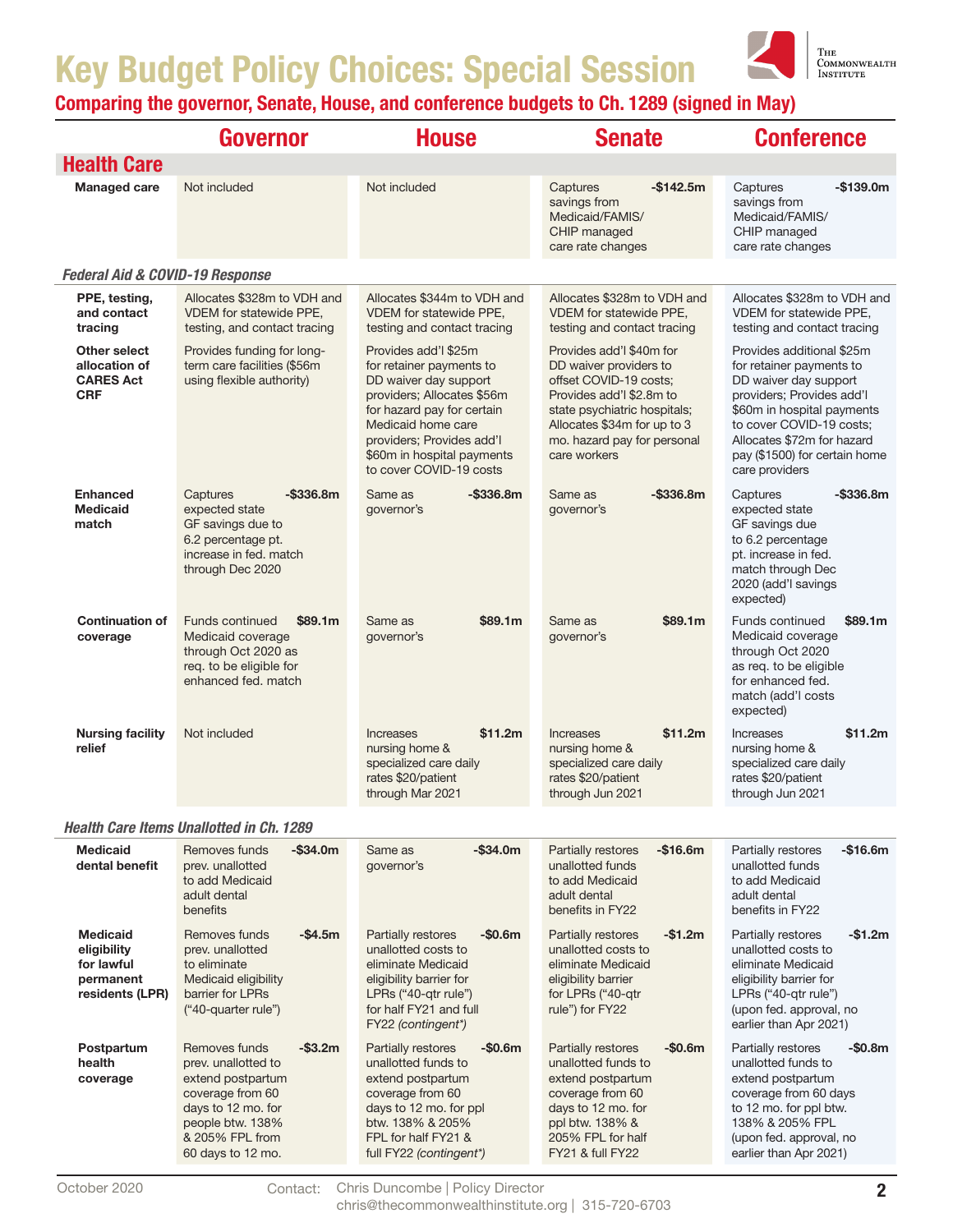

|                                                                              | <b>Governor</b>                                                                                                                                                             | <b>House</b>                                                                                                                                                                                                                                      | <b>Senate</b>                                                                                                                                                                                                          | <b>Conference</b>                                                                                                                                                                                                                                      |
|------------------------------------------------------------------------------|-----------------------------------------------------------------------------------------------------------------------------------------------------------------------------|---------------------------------------------------------------------------------------------------------------------------------------------------------------------------------------------------------------------------------------------------|------------------------------------------------------------------------------------------------------------------------------------------------------------------------------------------------------------------------|--------------------------------------------------------------------------------------------------------------------------------------------------------------------------------------------------------------------------------------------------------|
| <b>Health Care</b>                                                           |                                                                                                                                                                             |                                                                                                                                                                                                                                                   |                                                                                                                                                                                                                        |                                                                                                                                                                                                                                                        |
| <b>Managed care</b>                                                          | Not included                                                                                                                                                                | Not included                                                                                                                                                                                                                                      | Captures<br>$-$142.5m$<br>savings from<br>Medicaid/FAMIS/<br>CHIP managed<br>care rate changes                                                                                                                         | -\$139.0m<br>Captures<br>savings from<br>Medicaid/FAMIS/<br>CHIP managed<br>care rate changes                                                                                                                                                          |
| <b>Federal Aid &amp; COVID-19 Response</b>                                   |                                                                                                                                                                             |                                                                                                                                                                                                                                                   |                                                                                                                                                                                                                        |                                                                                                                                                                                                                                                        |
| PPE, testing,<br>and contact<br>tracing                                      | Allocates \$328m to VDH and<br><b>VDEM</b> for statewide PPE,<br>testing, and contact tracing                                                                               | Allocates \$344m to VDH and<br><b>VDEM</b> for statewide PPE,<br>testing and contact tracing                                                                                                                                                      | Allocates \$328m to VDH and<br>VDEM for statewide PPE,<br>testing and contact tracing                                                                                                                                  | Allocates \$328m to VDH and<br>VDEM for statewide PPE,<br>testing and contact tracing                                                                                                                                                                  |
| Other select<br>allocation of<br><b>CARES Act</b><br><b>CRF</b>              | Provides funding for long-<br>term care facilities (\$56m<br>using flexible authority)                                                                                      | Provides add'l \$25m<br>for retainer payments to<br>DD waiver day support<br>providers; Allocates \$56m<br>for hazard pay for certain<br>Medicaid home care<br>providers; Provides add'l<br>\$60m in hospital payments<br>to cover COVID-19 costs | Provides add'l \$40m for<br>DD waiver providers to<br>offset COVID-19 costs;<br>Provides add'l \$2.8m to<br>state psychiatric hospitals;<br>Allocates \$34m for up to 3<br>mo. hazard pay for personal<br>care workers | Provides additional \$25m<br>for retainer payments to<br>DD waiver day support<br>providers; Provides add'l<br>\$60m in hospital payments<br>to cover COVID-19 costs;<br>Allocates \$72m for hazard<br>pay (\$1500) for certain home<br>care providers |
| <b>Enhanced</b><br><b>Medicaid</b><br>match                                  | $-$ \$336.8m<br>Captures<br>expected state<br>GF savings due to<br>6.2 percentage pt.<br>increase in fed. match<br>through Dec 2020                                         | $-$ \$336.8m<br>Same as<br>governor's                                                                                                                                                                                                             | $-$ \$336.8m<br>Same as<br>governor's                                                                                                                                                                                  | Captures<br>$-$ \$336.8m<br>expected state<br>GF savings due<br>to 6.2 percentage<br>pt. increase in fed.<br>match through Dec<br>2020 (add'l savings<br>expected)                                                                                     |
| <b>Continuation of</b><br>coverage                                           | <b>Funds continued</b><br>\$89.1m<br>Medicaid coverage<br>through Oct 2020 as<br>req. to be eligible for<br>enhanced fed. match                                             | \$89.1m<br>Same as<br>governor's                                                                                                                                                                                                                  | \$89.1m<br>Same as<br>governor's                                                                                                                                                                                       | <b>Funds continued</b><br>\$89.1m<br>Medicaid coverage<br>through Oct 2020<br>as req. to be eligible<br>for enhanced fed.<br>match (add'l costs<br>expected)                                                                                           |
| <b>Nursing facility</b><br>relief                                            | Not included                                                                                                                                                                | \$11.2m<br>Increases<br>nursing home &<br>specialized care daily<br>rates \$20/patient<br>through Mar 2021                                                                                                                                        | \$11.2m<br>Increases<br>nursing home &<br>specialized care daily<br>rates \$20/patient<br>through Jun 2021                                                                                                             | \$11.2m<br><b>Increases</b><br>nursing home &<br>specialized care daily<br>rates \$20/patient<br>through Jun 2021                                                                                                                                      |
|                                                                              | <b>Health Care Items Unallotted in Ch. 1289</b>                                                                                                                             |                                                                                                                                                                                                                                                   |                                                                                                                                                                                                                        |                                                                                                                                                                                                                                                        |
| <b>Medicaid</b><br>dental benefit                                            | Removes funds<br>$-$ \$34.0m<br>prev. unallotted<br>to add Medicaid<br>adult dental<br>benefits                                                                             | Same as<br>-\$34.0m<br>governor's                                                                                                                                                                                                                 | Partially restores<br>$-$16.6m$<br>unallotted funds<br>to add Medicaid<br>adult dental<br>benefits in FY22                                                                                                             | Partially restores<br>$-$16.6m$<br>unallotted funds<br>to add Medicaid<br>adult dental<br>benefits in FY22                                                                                                                                             |
| <b>Medicaid</b><br>eligibility<br>for lawful<br>permanent<br>residents (LPR) | Removes funds<br>$-$4.5m$<br>prev. unallotted<br>to eliminate<br>Medicaid eligibility<br>barrier for LPRs<br>("40-quarter rule")                                            | Partially restores<br>$-$0.6m$<br>unallotted costs to<br>eliminate Medicaid<br>eligibility barrier for<br>LPRs ("40-qtr rule")<br>for half FY21 and full<br>FY22 (contingent*)                                                                    | Partially restores<br>$-$1.2m$<br>unallotted costs to<br>eliminate Medicaid<br>eligibility barrier<br>for LPRs ("40-gtr<br>rule") for FY22                                                                             | Partially restores<br>-\$1.2m<br>unallotted costs to<br>eliminate Medicaid<br>eligibility barrier for<br>LPRs ("40-qtr rule")<br>(upon fed. approval, no<br>earlier than Apr 2021)                                                                     |
| Postpartum<br>health<br>coverage                                             | Removes funds<br>$-$3.2m$<br>prev. unallotted to<br>extend postpartum<br>coverage from 60<br>days to 12 mo. for<br>people btw. 138%<br>& 205% FPL from<br>60 days to 12 mo. | Partially restores<br>$-$0.6m$<br>unallotted funds to<br>extend postpartum<br>coverage from 60<br>days to 12 mo. for ppl<br>btw. 138% & 205%<br>FPL for half FY21 &<br>full FY22 (contingent*)                                                    | Partially restores<br>$-$0.6m$<br>unallotted funds to<br>extend postpartum<br>coverage from 60<br>days to 12 mo. for<br>ppl btw. 138% &<br>205% FPL for half<br>FY21 & full FY22                                       | Partially restores<br>$-$0.8m$<br>unallotted funds to<br>extend postpartum<br>coverage from 60 days<br>to 12 mo. for ppl btw.<br>138% & 205% FPL<br>(upon fed. approval, no<br>earlier than Apr 2021)                                                  |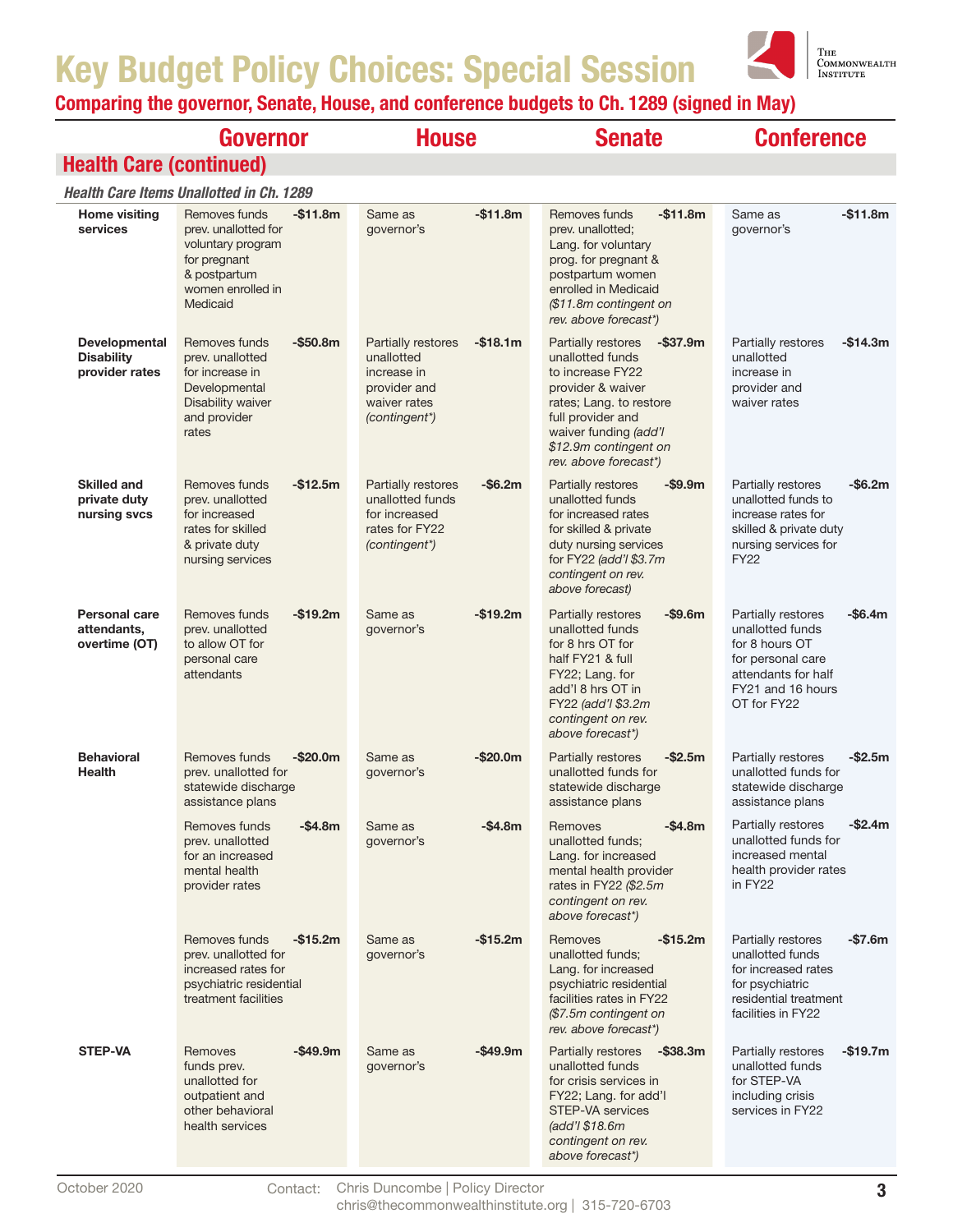

|                                                      | Governor                                                                                                                                 | <b>House</b>                                                                                                  | <b>Senate</b>                                                                                                                                                                                                             | <b>Conference</b>                                                                                                                                   |
|------------------------------------------------------|------------------------------------------------------------------------------------------------------------------------------------------|---------------------------------------------------------------------------------------------------------------|---------------------------------------------------------------------------------------------------------------------------------------------------------------------------------------------------------------------------|-----------------------------------------------------------------------------------------------------------------------------------------------------|
| <b>Health Care (continued)</b>                       |                                                                                                                                          |                                                                                                               |                                                                                                                                                                                                                           |                                                                                                                                                     |
|                                                      | <b>Health Care Items Unallotted in Ch. 1289</b>                                                                                          |                                                                                                               |                                                                                                                                                                                                                           |                                                                                                                                                     |
| <b>Home visiting</b><br>services                     | Removes funds<br>$-$11.8m$<br>prev. unallotted for<br>voluntary program<br>for pregnant<br>& postpartum<br>women enrolled in<br>Medicaid | Same as<br>$-$11.8m$<br>governor's                                                                            | Removes funds<br>$-$11.8m$<br>prev. unallotted;<br>Lang. for voluntary<br>prog. for pregnant &<br>postpartum women<br>enrolled in Medicaid<br>(\$11.8m contingent on<br>rev. above forecast*)                             | Same as<br>-\$11.8m<br>governor's                                                                                                                   |
| Developmental<br><b>Disability</b><br>provider rates | $-$ \$50.8m<br>Removes funds<br>prev. unallotted<br>for increase in<br>Developmental<br>Disability waiver<br>and provider<br>rates       | Partially restores<br>$-$18.1m$<br>unallotted<br>increase in<br>provider and<br>waiver rates<br>(contingent*) | Partially restores<br>$-$ \$37.9m<br>unallotted funds<br>to increase FY22<br>provider & waiver<br>rates; Lang. to restore<br>full provider and<br>waiver funding (add'l<br>\$12.9m contingent on<br>rev. above forecast*) | Partially restores<br>-\$14.3m<br>unallotted<br>increase in<br>provider and<br>waiver rates                                                         |
| <b>Skilled and</b><br>private duty<br>nursing svcs   | $-$12.5m$<br>Removes funds<br>prev. unallotted<br>for increased<br>rates for skilled<br>& private duty<br>nursing services               | Partially restores<br>-\$6.2m<br>unallotted funds<br>for increased<br>rates for FY22<br>(contingent*)         | $-$ \$9.9m<br>Partially restores<br>unallotted funds<br>for increased rates<br>for skilled & private<br>duty nursing services<br>for FY22 (add'l \$3.7m<br>contingent on rev.<br>above forecast)                          | Partially restores<br>-\$6.2m<br>unallotted funds to<br>increase rates for<br>skilled & private duty<br>nursing services for<br><b>FY22</b>         |
| <b>Personal care</b><br>attendants,<br>overtime (OT) | $-$19.2m$<br>Removes funds<br>prev. unallotted<br>to allow OT for<br>personal care<br>attendants                                         | Same as<br>$-$19.2m$<br>governor's                                                                            | $-$9.6m$<br>Partially restores<br>unallotted funds<br>for 8 hrs OT for<br>half FY21 & full<br>FY22; Lang. for<br>add'l 8 hrs OT in<br>FY22 (add'l \$3.2m)<br>contingent on rev.<br>above forecast*)                       | Partially restores<br>-\$6.4m<br>unallotted funds<br>for 8 hours OT<br>for personal care<br>attendants for half<br>FY21 and 16 hours<br>OT for FY22 |
| <b>Behavioral</b><br><b>Health</b>                   | $-$20.0m$<br>Removes funds<br>prev. unallotted for<br>statewide discharge<br>assistance plans                                            | $-$20.0m$<br>Same as<br>governor's                                                                            | Partially restores<br>$-$ \$2.5m<br>unallotted funds for<br>statewide discharge<br>assistance plans                                                                                                                       | $-$2.5m$<br>Partially restores<br>unallotted funds for<br>statewide discharge<br>assistance plans                                                   |
|                                                      | Removes funds<br>$-$4.8m$<br>prev. unallotted<br>for an increased<br>mental health<br>provider rates                                     | -\$4.8m<br>Same as<br>governor's                                                                              | $-$4.8m$<br>Removes<br>unallotted funds;<br>Lang. for increased<br>mental health provider<br>rates in FY22 (\$2.5m<br>contingent on rev.<br>above forecast*)                                                              | -\$2.4m<br>Partially restores<br>unallotted funds for<br>increased mental<br>health provider rates<br>in FY22                                       |
|                                                      | $-$15.2m$<br>Removes funds<br>prev. unallotted for<br>increased rates for<br>psychiatric residential<br>treatment facilities             | -\$15.2m<br>Same as<br>governor's                                                                             | Removes<br>$-$15.2m$<br>unallotted funds;<br>Lang. for increased<br>psychiatric residential<br>facilities rates in FY22<br>(\$7.5m contingent on<br>rev. above forecast*)                                                 | -\$7.6m<br>Partially restores<br>unallotted funds<br>for increased rates<br>for psychiatric<br>residential treatment<br>facilities in FY22          |
| <b>STEP-VA</b>                                       | -\$49.9m<br>Removes<br>funds prev.<br>unallotted for<br>outpatient and<br>other behavioral<br>health services                            | -\$49.9m<br>Same as<br>governor's                                                                             | $-$ \$38.3m<br><b>Partially restores</b><br>unallotted funds<br>for crisis services in<br>FY22; Lang. for add'l<br>STEP-VA services<br>(add'l \$18.6m)<br>contingent on rev.<br>above forecast*)                          | $-$19.7m$<br>Partially restores<br>unallotted funds<br>for STEP-VA<br>including crisis<br>services in FY22                                          |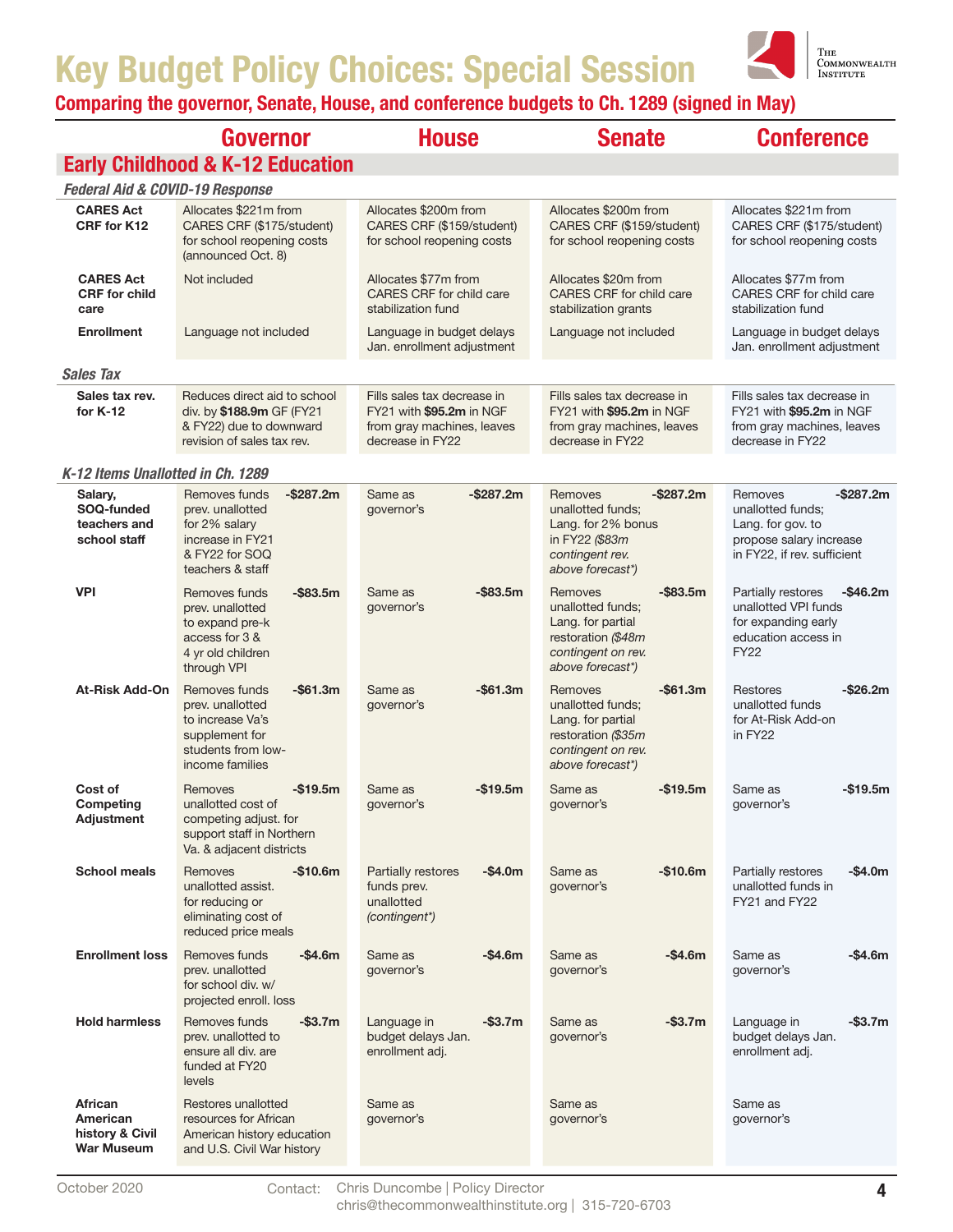

|                                                             | Governor                                                                                                                      | <b>House</b>                                                                                              | <b>Senate</b>                                                                                                                    | <b>Conference</b>                                                                                                           |
|-------------------------------------------------------------|-------------------------------------------------------------------------------------------------------------------------------|-----------------------------------------------------------------------------------------------------------|----------------------------------------------------------------------------------------------------------------------------------|-----------------------------------------------------------------------------------------------------------------------------|
|                                                             | <b>Early Childhood &amp; K-12 Education</b>                                                                                   |                                                                                                           |                                                                                                                                  |                                                                                                                             |
| <b>Federal Aid &amp; COVID-19 Response</b>                  |                                                                                                                               |                                                                                                           |                                                                                                                                  |                                                                                                                             |
| <b>CARES Act</b><br>CRF for K12                             | Allocates \$221m from<br>CARES CRF (\$175/student)<br>for school reopening costs<br>(announced Oct. 8)                        | Allocates \$200m from<br>CARES CRF (\$159/student)<br>for school reopening costs                          | Allocates \$200m from<br>CARES CRF (\$159/student)<br>for school reopening costs                                                 | Allocates \$221m from<br>CARES CRF (\$175/student)<br>for school reopening costs                                            |
| <b>CARES Act</b><br><b>CRF</b> for child<br>care            | Not included                                                                                                                  | Allocates \$77m from<br>CARES CRF for child care<br>stabilization fund                                    | Allocates \$20m from<br>CARES CRF for child care<br>stabilization grants                                                         | Allocates \$77m from<br>CARES CRF for child care<br>stabilization fund                                                      |
| <b>Enrollment</b>                                           | Language not included                                                                                                         | Language in budget delays<br>Jan. enrollment adjustment                                                   | Language not included                                                                                                            | Language in budget delays<br>Jan. enrollment adjustment                                                                     |
| <b>Sales Tax</b>                                            |                                                                                                                               |                                                                                                           |                                                                                                                                  |                                                                                                                             |
| Sales tax rev.<br>for K-12                                  | Reduces direct aid to school<br>div. by \$188.9m GF (FY21<br>& FY22) due to downward<br>revision of sales tax rev.            | Fills sales tax decrease in<br>FY21 with \$95.2m in NGF<br>from gray machines, leaves<br>decrease in FY22 | Fills sales tax decrease in<br>FY21 with \$95.2m in NGF<br>from gray machines, leaves<br>decrease in FY22                        | Fills sales tax decrease in<br>FY21 with \$95.2m in NGF<br>from gray machines, leaves<br>decrease in FY22                   |
| K-12 Items Unallotted in Ch. 1289                           |                                                                                                                               |                                                                                                           |                                                                                                                                  |                                                                                                                             |
| Salary,<br>SOQ-funded<br>teachers and<br>school staff       | Removes funds<br>$-$ \$287.2m<br>prev. unallotted<br>for 2% salary<br>increase in FY21<br>& FY22 for SOQ<br>teachers & staff  | -\$287.2m<br>Same as<br>governor's                                                                        | $-$ \$287.2m<br>Removes<br>unallotted funds;<br>Lang. for 2% bonus<br>in FY22 (\$83m<br>contingent rev.<br>above forecast*)      | $-$ \$287.2m<br>Removes<br>unallotted funds:<br>Lang. for gov. to<br>propose salary increase<br>in FY22, if rev. sufficient |
| <b>VPI</b>                                                  | $-$ \$83.5m<br>Removes funds<br>prev. unallotted<br>to expand pre-k<br>access for 3 &<br>4 yr old children<br>through VPI     | $-$ \$83.5m<br>Same as<br>governor's                                                                      | Removes<br>$-$ \$83.5m<br>unallotted funds;<br>Lang. for partial<br>restoration (\$48m<br>contingent on rev.<br>above forecast*) | Partially restores<br>$-$ \$46.2m<br>unallotted VPI funds<br>for expanding early<br>education access in<br><b>FY22</b>      |
| <b>At-Risk Add-On</b>                                       | $-$61.3m$<br>Removes funds<br>prev. unallotted<br>to increase Va's<br>supplement for<br>students from low-<br>income families | $-$61.3m$<br>Same as<br>governor's                                                                        | $-$ \$61.3m<br>Removes<br>unallotted funds;<br>Lang. for partial<br>restoration (\$35m<br>contingent on rev.<br>above forecast*) | -\$26.2m<br>Restores<br>unallotted funds<br>for At-Risk Add-on<br>in FY22                                                   |
| Cost of<br>Competing<br><b>Adjustment</b>                   | $-$19.5m$<br>Removes<br>unallotted cost of<br>competing adjust. for<br>support staff in Northern<br>Va. & adjacent districts  | Same as<br>-\$19.5m<br>governor's                                                                         | $-$19.5m$<br>Same as<br>governor's                                                                                               | Same as<br>-\$19.5m<br>governor's                                                                                           |
| <b>School meals</b>                                         | Removes<br>$-$10.6m$<br>unallotted assist.<br>for reducing or<br>eliminating cost of<br>reduced price meals                   | -\$4.0m<br><b>Partially restores</b><br>funds prev.<br>unallotted<br>(contingent*)                        | Same as<br>$-$10.6m$<br>governor's                                                                                               | Partially restores<br>-\$4.0m<br>unallotted funds in<br>FY21 and FY22                                                       |
| <b>Enrollment loss</b>                                      | Removes funds<br>$-$4.6m$<br>prev. unallotted<br>for school div. w/<br>projected enroll. loss                                 | -\$4.6m<br>Same as<br>governor's                                                                          | $-$4.6m$<br>Same as<br>governor's                                                                                                | Same as<br>-\$4.6m<br>governor's                                                                                            |
| <b>Hold harmless</b>                                        | $-$3.7m$<br>Removes funds<br>prev. unallotted to<br>ensure all div. are<br>funded at FY20<br>levels                           | $-$ \$3.7m<br>Language in<br>budget delays Jan.<br>enrollment adj.                                        | $-$ \$3.7m<br>Same as<br>governor's                                                                                              | -\$3.7m<br>Language in<br>budget delays Jan.<br>enrollment adj.                                                             |
| <b>African</b><br>American<br>history & Civil<br>War Museum | Restores unallotted<br>resources for African<br>American history education<br>and U.S. Civil War history                      | Same as<br>governor's                                                                                     | Same as<br>governor's                                                                                                            | Same as<br>governor's                                                                                                       |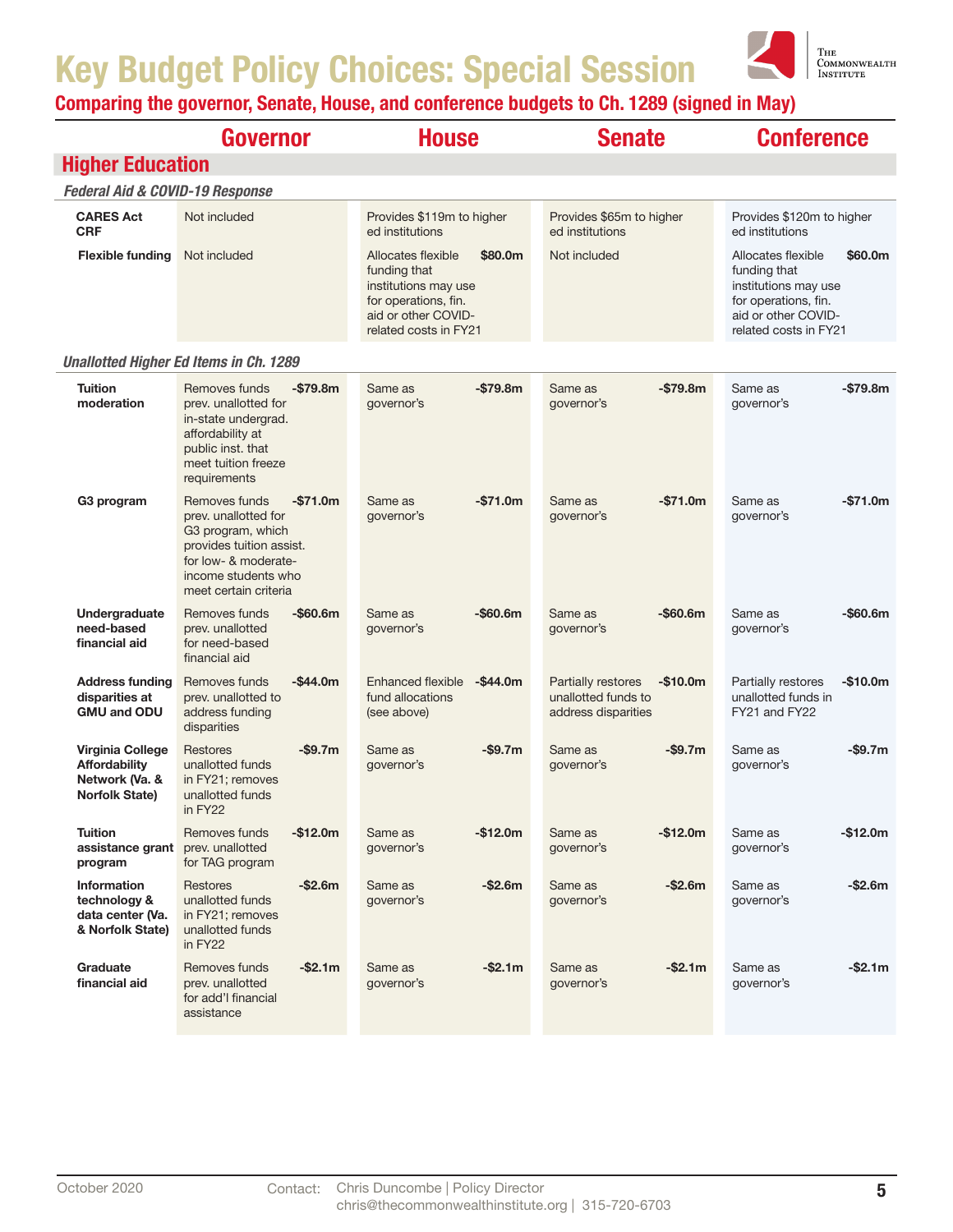

|                                                                                     | <b>Governor</b>                                                                                                                                                             | <b>House</b>                                                                                                                                  | <b>Senate</b>                                                                 | <b>Conference</b>                                                                                                                             |
|-------------------------------------------------------------------------------------|-----------------------------------------------------------------------------------------------------------------------------------------------------------------------------|-----------------------------------------------------------------------------------------------------------------------------------------------|-------------------------------------------------------------------------------|-----------------------------------------------------------------------------------------------------------------------------------------------|
| <b>Higher Education</b>                                                             |                                                                                                                                                                             |                                                                                                                                               |                                                                               |                                                                                                                                               |
| <b>Federal Aid &amp; COVID-19 Response</b>                                          |                                                                                                                                                                             |                                                                                                                                               |                                                                               |                                                                                                                                               |
| <b>CARES Act</b><br><b>CRF</b>                                                      | Not included                                                                                                                                                                | Provides \$119m to higher<br>ed institutions                                                                                                  | Provides \$65m to higher<br>ed institutions                                   | Provides \$120m to higher<br>ed institutions                                                                                                  |
| <b>Flexible funding</b>                                                             | Not included                                                                                                                                                                | Allocates flexible<br>\$80.0m<br>funding that<br>institutions may use<br>for operations, fin.<br>aid or other COVID-<br>related costs in FY21 | Not included                                                                  | Allocates flexible<br>\$60.0m<br>funding that<br>institutions may use<br>for operations, fin.<br>aid or other COVID-<br>related costs in FY21 |
|                                                                                     | <b>Unallotted Higher Ed Items in Ch. 1289</b>                                                                                                                               |                                                                                                                                               |                                                                               |                                                                                                                                               |
| <b>Tuition</b><br>moderation                                                        | Removes funds<br>$-$79.8m$<br>prev. unallotted for<br>in-state undergrad.<br>affordability at<br>public inst. that<br>meet tuition freeze<br>requirements                   | $-$79.8m$<br>Same as<br>governor's                                                                                                            | $-$79.8m$<br>Same as<br>governor's                                            | Same as<br>-\$79.8m<br>governor's                                                                                                             |
| G3 program                                                                          | Removes funds<br>$-$71.0m$<br>prev. unallotted for<br>G3 program, which<br>provides tuition assist.<br>for low- & moderate-<br>income students who<br>meet certain criteria | $-$71.0m$<br>Same as<br>governor's                                                                                                            | Same as<br>$-$71.0m$<br>governor's                                            | Same as<br>$-$71.0m$<br>governor's                                                                                                            |
| Undergraduate<br>need-based<br>financial aid                                        | $-$60.6m$<br>Removes funds<br>prev. unallotted<br>for need-based<br>financial aid                                                                                           | $-$ \$60.6m<br>Same as<br>governor's                                                                                                          | $-$60.6m$<br>Same as<br>governor's                                            | Same as<br>-\$60.6m<br>governor's                                                                                                             |
| <b>Address funding</b><br>disparities at<br><b>GMU and ODU</b>                      | Removes funds<br>$-$ \$44.0m<br>prev. unallotted to<br>address funding<br>disparities                                                                                       | Enhanced flexible<br>$-$44.0m$<br>fund allocations<br>(see above)                                                                             | Partially restores<br>$-$10.0m$<br>unallotted funds to<br>address disparities | Partially restores<br>$-$10.0m$<br>unallotted funds in<br>FY21 and FY22                                                                       |
| Virginia College<br><b>Affordability</b><br>Network (Va. &<br><b>Norfolk State)</b> | <b>Restores</b><br>$-$9.7m$<br>unallotted funds<br>in FY21; removes<br>unallotted funds<br>in FY22                                                                          | $-$ \$9.7m<br>Same as<br>governor's                                                                                                           | $-$ \$9.7m<br>Same as<br>governor's                                           | $-$ \$9.7m<br>Same as<br>governor's                                                                                                           |
| Tuition<br>assistance grant<br>program                                              | Removes funds<br>$-$12.0m$<br>prev. unallotted<br>for TAG program                                                                                                           | $-$12.0m$<br>Same as<br>governor's                                                                                                            | $-$12.0m$<br>Same as<br>governor's                                            | $-$12.0m$<br>Same as<br>governor's                                                                                                            |
| <b>Information</b><br>technology &<br>data center (Va.<br>& Norfolk State)          | $-$2.6m$<br><b>Restores</b><br>unallotted funds<br>in FY21; removes<br>unallotted funds<br>in FY22                                                                          | $-$2.6m$<br>Same as<br>governor's                                                                                                             | $-$2.6m$<br>Same as<br>governor's                                             | $-$2.6m$<br>Same as<br>governor's                                                                                                             |
| Graduate<br>financial aid                                                           | $-$2.1m$<br>Removes funds<br>prev. unallotted<br>for add'l financial<br>assistance                                                                                          | $-$2.1m$<br>Same as<br>governor's                                                                                                             | $-$2.1m$<br>Same as<br>governor's                                             | $-$ \$2.1m<br>Same as<br>governor's                                                                                                           |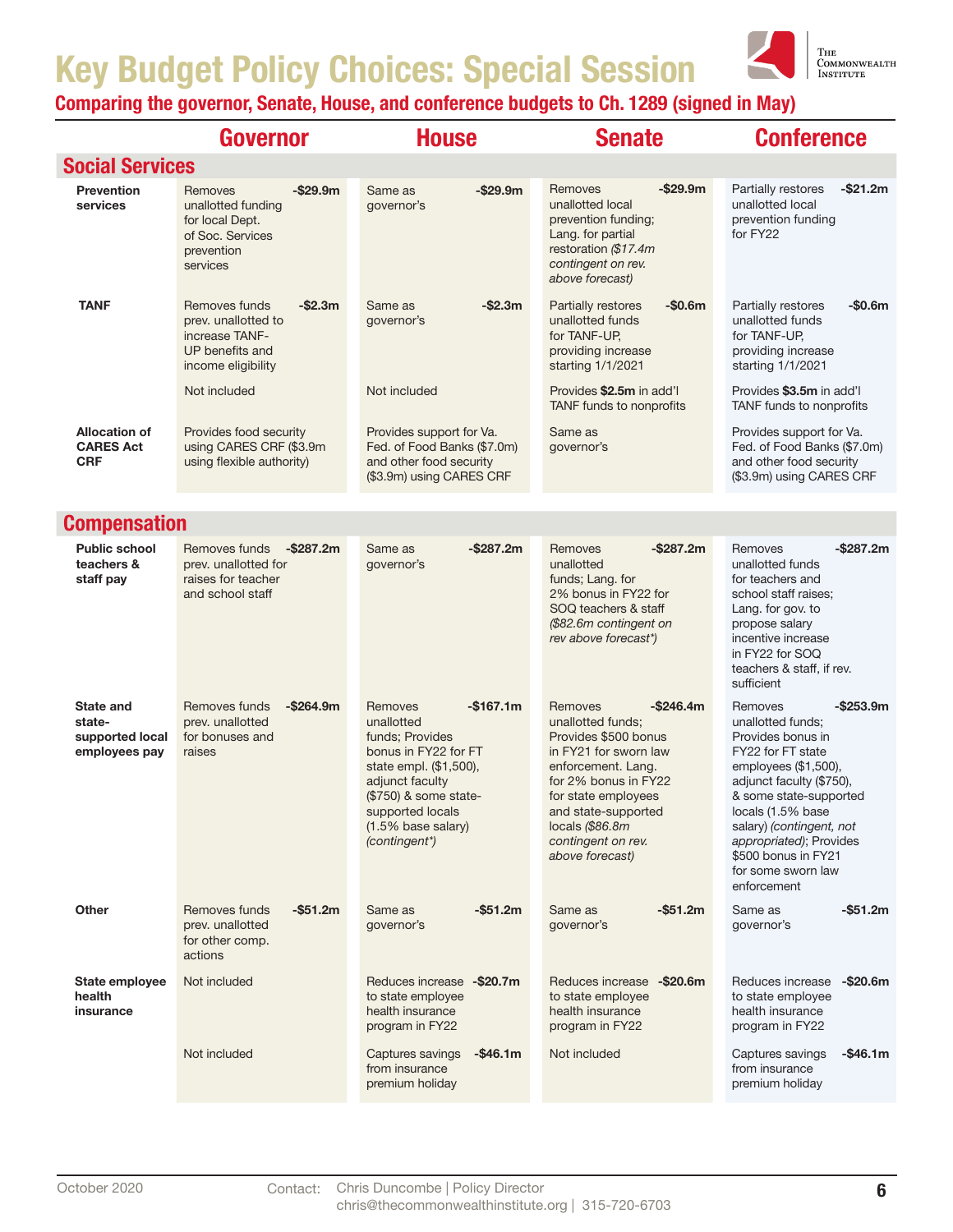

|                                                                | Governor                                                                                                      | <b>House</b>                                                                                                                                                                                                    | <b>Senate</b>                                                                                                                                                                                                                                         | <b>Conference</b>                                                                                                                                                                                                                                                                                            |
|----------------------------------------------------------------|---------------------------------------------------------------------------------------------------------------|-----------------------------------------------------------------------------------------------------------------------------------------------------------------------------------------------------------------|-------------------------------------------------------------------------------------------------------------------------------------------------------------------------------------------------------------------------------------------------------|--------------------------------------------------------------------------------------------------------------------------------------------------------------------------------------------------------------------------------------------------------------------------------------------------------------|
| <b>Social Services</b>                                         |                                                                                                               |                                                                                                                                                                                                                 |                                                                                                                                                                                                                                                       |                                                                                                                                                                                                                                                                                                              |
| Prevention<br>services                                         | $-$ \$29.9m<br>Removes<br>unallotted funding<br>for local Dept.<br>of Soc. Services<br>prevention<br>services | $-$ \$29.9m<br>Same as<br>governor's                                                                                                                                                                            | $-$ \$29.9m<br>Removes<br>unallotted local<br>prevention funding;<br>Lang. for partial<br>restoration (\$17.4m<br>contingent on rev.<br>above forecast)                                                                                               | Partially restores<br>$-$ \$21.2m<br>unallotted local<br>prevention funding<br>for FY22                                                                                                                                                                                                                      |
| <b>TANF</b>                                                    | $-$2.3m$<br>Removes funds<br>prev. unallotted to<br>increase TANF-<br>UP benefits and<br>income eligibility   | $-$2.3m$<br>Same as<br>governor's                                                                                                                                                                               | Partially restores<br>$-$0.6m$<br>unallotted funds<br>for TANF-UP,<br>providing increase<br>starting 1/1/2021                                                                                                                                         | Partially restores<br>$-$0.6m$<br>unallotted funds<br>for TANF-UP.<br>providing increase<br>starting 1/1/2021                                                                                                                                                                                                |
|                                                                | Not included                                                                                                  | Not included                                                                                                                                                                                                    | Provides \$2.5m in add'l<br>TANF funds to nonprofits                                                                                                                                                                                                  | Provides \$3.5m in add'l<br>TANF funds to nonprofits                                                                                                                                                                                                                                                         |
| <b>Allocation of</b><br><b>CARES Act</b><br><b>CRF</b>         | Provides food security<br>using CARES CRF (\$3.9m<br>using flexible authority)                                | Provides support for Va.<br>Fed. of Food Banks (\$7.0m)<br>and other food security<br>(\$3.9m) using CARES CRF                                                                                                  | Same as<br>governor's                                                                                                                                                                                                                                 | Provides support for Va.<br>Fed. of Food Banks (\$7.0m)<br>and other food security<br>(\$3.9m) using CARES CRF                                                                                                                                                                                               |
| <b>Compensation</b>                                            |                                                                                                               |                                                                                                                                                                                                                 |                                                                                                                                                                                                                                                       |                                                                                                                                                                                                                                                                                                              |
| <b>Public school</b><br>teachers &<br>staff pay                | Removes funds<br>$-$ \$287.2m<br>prev. unallotted for<br>raises for teacher<br>and school staff               | $-$287.2m$<br>Same as<br>governor's                                                                                                                                                                             | $-$287.2m$<br>Removes<br>unallotted<br>funds; Lang. for<br>2% bonus in FY22 for<br>SOQ teachers & staff<br>(\$82.6m contingent on<br>rev above forecast*)                                                                                             | -\$287.2m<br>Removes<br>unallotted funds<br>for teachers and<br>school staff raises;<br>Lang. for gov. to<br>propose salary<br>incentive increase<br>in FY22 for SOQ<br>teachers & staff, if rev.<br>sufficient                                                                                              |
| <b>State and</b><br>state-<br>supported local<br>employees pay | Removes funds<br>$-$264.9m$<br>prev. unallotted<br>for bonuses and<br>raises                                  | $-$167.1m$<br>Removes<br>unallotted<br>funds: Provides<br>bonus in FY22 for FT<br>state empl. (\$1,500),<br>adjunct faculty<br>(\$750) & some state-<br>supported locals<br>(1.5% base salary)<br>(contingent*) | Removes<br>$-$ \$246.4m<br>unallotted funds:<br>Provides \$500 bonus<br>in FY21 for sworn law<br>enforcement. Lang.<br>for 2% bonus in FY22<br>for state employees<br>and state-supported<br>locals (\$86.8m<br>contingent on rev.<br>above forecast) | $-$ \$253.9m<br>Removes<br>unallotted funds:<br>Provides bonus in<br>FY22 for FT state<br>employees (\$1,500),<br>adjunct faculty (\$750),<br>& some state-supported<br>locals (1.5% base<br>salary) (contingent, not<br>appropriated); Provides<br>\$500 bonus in FY21<br>for some sworn law<br>enforcement |
| Other                                                          | $-$51.2m$<br>Removes funds<br>prev. unallotted<br>for other comp.<br>actions                                  | $-$51.2m$<br>Same as<br>governor's                                                                                                                                                                              | $-$51.2m$<br>Same as<br>governor's                                                                                                                                                                                                                    | -\$51.2m<br>Same as<br>governor's                                                                                                                                                                                                                                                                            |
| State employee<br>health<br>insurance                          | Not included                                                                                                  | Reduces increase -\$20.7m<br>to state employee<br>health insurance<br>program in FY22                                                                                                                           | Reduces increase -\$20.6m<br>to state employee<br>health insurance<br>program in FY22                                                                                                                                                                 | Reduces increase<br>$-$ \$20.6m<br>to state employee<br>health insurance<br>program in FY22                                                                                                                                                                                                                  |
|                                                                | Not included                                                                                                  | Captures savings<br>$-$46.1m$<br>from insurance<br>premium holiday                                                                                                                                              | Not included                                                                                                                                                                                                                                          | Captures savings<br>$-$46.1m$<br>from insurance<br>premium holiday                                                                                                                                                                                                                                           |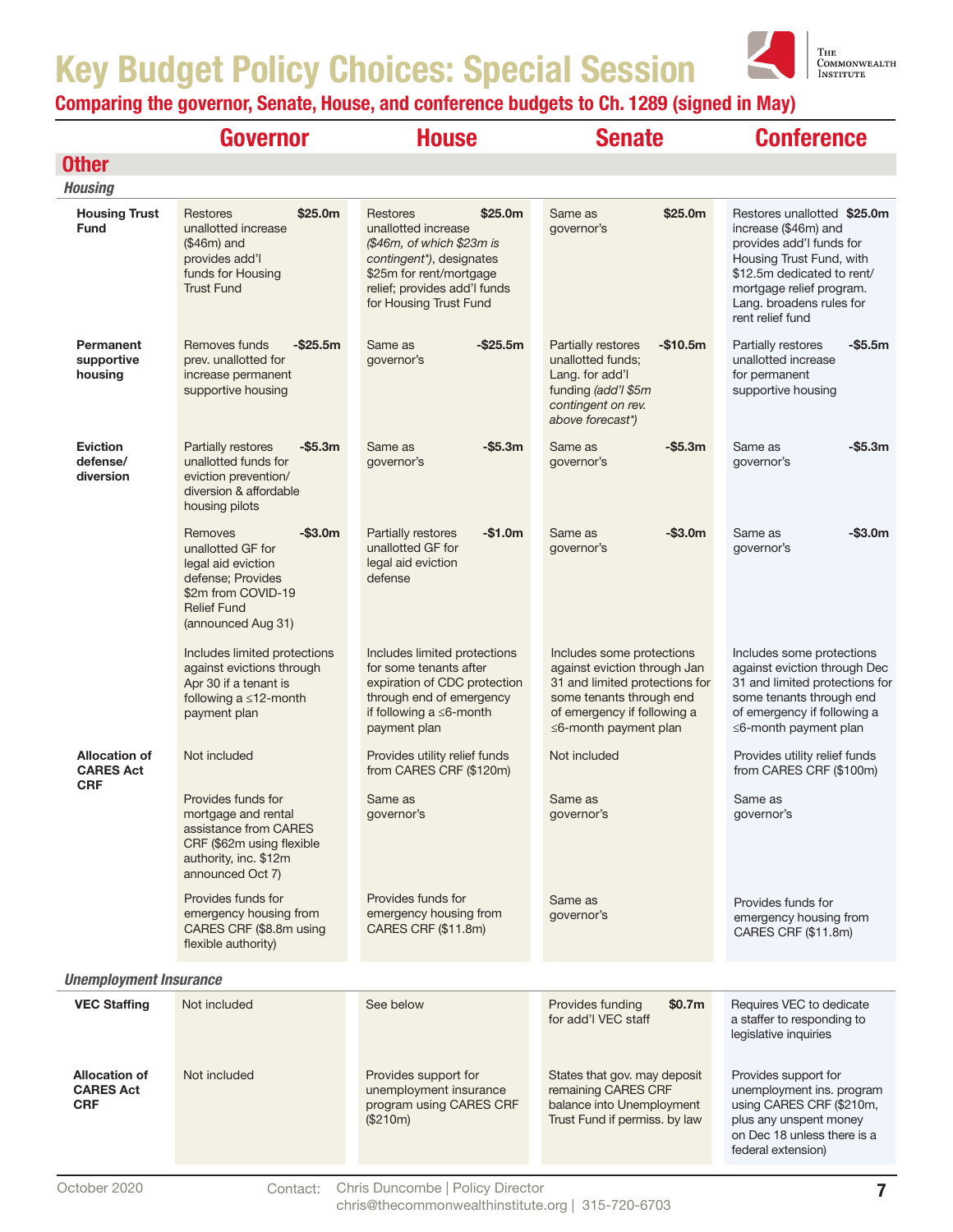

|                                                        | Governor                                                                                                                                              | <b>House</b>                                                                                                                                                                                                | <b>Senate</b>                                                                                                                                                                         | <b>Conference</b>                                                                                                                                                                                                     |  |
|--------------------------------------------------------|-------------------------------------------------------------------------------------------------------------------------------------------------------|-------------------------------------------------------------------------------------------------------------------------------------------------------------------------------------------------------------|---------------------------------------------------------------------------------------------------------------------------------------------------------------------------------------|-----------------------------------------------------------------------------------------------------------------------------------------------------------------------------------------------------------------------|--|
| <b>Other</b>                                           |                                                                                                                                                       |                                                                                                                                                                                                             |                                                                                                                                                                                       |                                                                                                                                                                                                                       |  |
| <b>Housing</b>                                         |                                                                                                                                                       |                                                                                                                                                                                                             |                                                                                                                                                                                       |                                                                                                                                                                                                                       |  |
| <b>Housing Trust</b><br><b>Fund</b>                    | \$25.0 <sub>m</sub><br>Restores<br>unallotted increase<br>$($46m)$ and<br>provides add'l<br>funds for Housing<br><b>Trust Fund</b>                    | \$25.0 <sub>m</sub><br><b>Restores</b><br>unallotted increase<br>(\$46m, of which \$23m is<br>contingent*), designates<br>\$25m for rent/mortgage<br>relief; provides add'l funds<br>for Housing Trust Fund | Same as<br>\$25.0m<br>governor's                                                                                                                                                      | Restores unallotted \$25.0m<br>increase (\$46m) and<br>provides add'I funds for<br>Housing Trust Fund, with<br>\$12.5m dedicated to rent/<br>mortgage relief program.<br>Lang. broadens rules for<br>rent relief fund |  |
| Permanent<br>supportive<br>housing                     | Removes funds<br>$-$ \$25.5m<br>prev. unallotted for<br>increase permanent<br>supportive housing                                                      | $-$ \$25.5m<br>Same as<br>governor's                                                                                                                                                                        | $-$10.5m$<br>Partially restores<br>unallotted funds;<br>Lang. for add'l<br>funding (add'l \$5m<br>contingent on rev.<br>above forecast*)                                              | Partially restores<br>-\$5.5m<br>unallotted increase<br>for permanent<br>supportive housing                                                                                                                           |  |
| <b>Eviction</b><br>defense/<br>diversion               | $-$ \$5.3m<br>Partially restores<br>unallotted funds for<br>eviction prevention/<br>diversion & affordable<br>housing pilots                          | $-$ \$5.3m<br>Same as<br>governor's                                                                                                                                                                         | -\$5.3m<br>Same as<br>governor's                                                                                                                                                      | $-$ \$5.3m<br>Same as<br>governor's                                                                                                                                                                                   |  |
|                                                        | $-$3.0m$<br>Removes<br>unallotted GF for<br>legal aid eviction<br>defense; Provides<br>\$2m from COVID-19<br><b>Relief Fund</b><br>(announced Aug 31) | Partially restores<br>$-$1.0m$<br>unallotted GF for<br>legal aid eviction<br>defense                                                                                                                        | Same as<br>$-$ \$3.0m<br>governor's                                                                                                                                                   | $-$ \$3.0m<br>Same as<br>governor's                                                                                                                                                                                   |  |
|                                                        | Includes limited protections<br>against evictions through<br>Apr 30 if a tenant is<br>following $a \leq 12$ -month<br>payment plan                    | Includes limited protections<br>for some tenants after<br>expiration of CDC protection<br>through end of emergency<br>if following $a \leq 6$ -month<br>payment plan                                        | Includes some protections<br>against eviction through Jan<br>31 and limited protections for<br>some tenants through end<br>of emergency if following a<br>$\leq$ 6-month payment plan | Includes some protections<br>against eviction through Dec<br>31 and limited protections for<br>some tenants through end<br>of emergency if following a<br>$\leq$ 6-month payment plan                                 |  |
| <b>Allocation of</b><br><b>CARES Act</b><br><b>CRF</b> | Not included                                                                                                                                          | Provides utility relief funds<br>from CARES CRF (\$120m)                                                                                                                                                    | Not included                                                                                                                                                                          | Provides utility relief funds<br>from CARES CRF (\$100m)                                                                                                                                                              |  |
|                                                        | Provides funds for<br>mortgage and rental<br>assistance from CARES<br>CRF (\$62m using flexible<br>authority, inc. \$12m<br>announced Oct 7)          | Same as<br>governor's                                                                                                                                                                                       | Same as<br>governor's                                                                                                                                                                 | Same as<br>governor's                                                                                                                                                                                                 |  |
|                                                        | Provides funds for<br>emergency housing from<br>CARES CRF (\$8.8m using<br>flexible authority)                                                        | Provides funds for<br>emergency housing from<br>CARES CRF (\$11.8m)                                                                                                                                         | Same as<br>governor's                                                                                                                                                                 | Provides funds for<br>emergency housing from<br>CARES CRF (\$11.8m)                                                                                                                                                   |  |
| <b>Unemployment Insurance</b>                          |                                                                                                                                                       |                                                                                                                                                                                                             |                                                                                                                                                                                       |                                                                                                                                                                                                                       |  |
| <b>VEC Staffing</b>                                    | Not included                                                                                                                                          | See below                                                                                                                                                                                                   | Provides funding<br>\$0.7m<br>for add'l VEC staff                                                                                                                                     | Requires VEC to dedicate<br>a staffer to responding to<br>legislative inquiries                                                                                                                                       |  |
| <b>Allocation of</b><br><b>CARES Act</b><br><b>CRF</b> | Not included                                                                                                                                          | Provides support for<br>unemployment insurance<br>program using CARES CRF<br>(\$210m)                                                                                                                       | States that gov. may deposit<br>remaining CARES CRF<br>balance into Unemployment<br>Trust Fund if permiss. by law                                                                     | Provides support for<br>unemployment ins. program<br>using CARES CRF (\$210m,<br>plus any unspent money<br>on Dec 18 unless there is a<br>federal extension)                                                          |  |